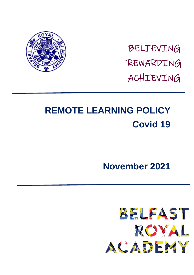

BELIEVING REWARDING ACHIEVING

# **REMOTE LEARNING POLICY Covid 19**

## **November 2021**

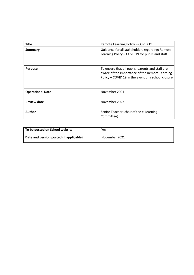| <b>Title</b>            | Remote Learning Policy - COVID 19                                                                                                                        |
|-------------------------|----------------------------------------------------------------------------------------------------------------------------------------------------------|
| Summary                 | Guidance for all stakeholders regarding: Remote<br>Learning Policy – COVD 19 for pupils and staff.                                                       |
| <b>Purpose</b>          | To ensure that all pupils, parents and staff are<br>aware of the importance of the Remote Learning<br>Policy - COVID 19 in the event of a school closure |
| <b>Operational Date</b> | November 2021                                                                                                                                            |
| <b>Review date</b>      | November 2023                                                                                                                                            |
| <b>Author</b>           | Senior Teacher (chair of the e-Learning<br>Committee)                                                                                                    |

| To be posted on School website          | Yes           |
|-----------------------------------------|---------------|
| Date and version posted (if applicable) | November 2021 |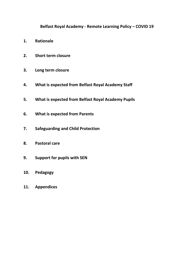## **Belfast Royal Academy - Remote Learning Policy – COVID 19**

- **1. Rationale**
- **2. Short term closure**
- **3. Long term closure**
- **4. What is expected from Belfast Royal Academy Staff**
- **5. What is expected from Belfast Royal Academy Pupils**
- **6. What is expected from Parents**
- **7. Safeguarding and Child Protection**
- **8. Pastoral care**
- **9. Support for pupils with SEN**
- **10. Pedagogy**
- **11. Appendices**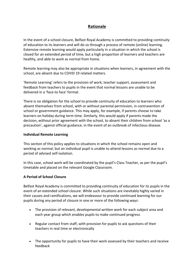## **Rationale**

In the event of a school closure, Belfast Royal Academy is committed to providing continuity of education to its learners and will do so through a process of remote (online) learning. Extensive remote learning would apply particularly in a situation in which the school is closed for an extended period of time, but a high proportion of learners and teachers are healthy, and able to work as normal from home.

Remote learning may also be appropriate in situations when learners, in agreement with the school, are absent due to COVID 19 related matters.

'Remote Learning' refers to the provision of work, teacher support, assessment and feedback from teachers to pupils in the event that normal lessons are unable to be delivered in a 'face-to face' format.

There is no obligation for the school to provide continuity of education to learners who absent themselves from school, with or without parental permission, in contravention of school or government guidance. This may apply, for example, if parents choose to take learners on holiday during term time. Similarly, this would apply if parents made the decision, without prior agreement with the school, to absent their children from school 'as a precaution', against official guidance, in the event of an outbreak of infectious disease.

#### **Individual Remote Learning**

This section of this policy applies to situations in which the school remains open and working as normal, but an individual pupil is unable to attend lessons as normal due to a period of advised self-isolation.

In this case, school work will be coordinated by the pupil's Class Teacher, as per the pupil's timetable and placed on the relevant Google Classroom.

#### **A Period of School Closure**

Belfast Royal Academy is committed to providing continuity of education for its pupils in the event of an extended school closure. While such situations are inevitably highly varied in their causes and ramifications, we will endeavour to provide continued learning for our pupils during any period of closure in one or more of the following ways:

- The provision of relevant, developmental written work for each subject area and each year group which enables pupils to make continued progress
- Regular contact from staff, with provision for pupils to ask questions of their teachers in real time or electronically
- The opportunity for pupils to have their work assessed by their teachers and receive feedback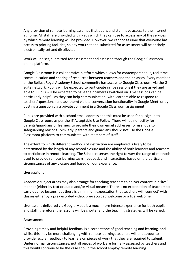Any provision of remote learning assumes that pupils and staff have access to the internet at home. All staff are provided with iPads which they can use to access any of the services by which remote learning will be provided. However, we cannot assume that everyone has access to printing facilities, so any work set and submitted for assessment will be entirely electronically set and distributed.

Work will be set, submitted for assessment and assessed through the Google Classroom online platform.

Google Classroom is a collaborative platform which allows for contemporaneous, real-time communication and sharing of resources between teachers and their classes. Every member of the Belfast Royal Academy School community has access to Google Classroom, via the G Suite network. Pupils will be expected to participate in live sessions if they are asked and able to. Pupils will be expected to have their cameras switched on. Live sessions can be particularly helpful as they can help communication, with learners able to respond to teachers' questions (and ask them) via the conversation functionality in Google Meet, or by posting a question via a private comment in a Google Classroom assignment.

Pupils are provided with a school email address and this must be used for all sign in to Google Classroom, as per the IT Acceptable Use Policy. There will be no facility for parents/guardians or learners to provide their own email addresses for use; due to safeguarding reasons. Similarly, parents and guardians should not use the Google Classroom platform to communicate with members of staff.

The extent to which different methods of instruction are employed is likely to be determined by the length of any school closure and the ability of both learners and teachers to participate in remote learning. The School reserves the right to vary the range of methods used to provide remote learning tasks, feedback and interaction, based on the particular circumstances of any closure and based on our experience.

#### **Live sessions**

Academic subject areas may also arrange for teaching teachers to deliver content in a 'live' manner (either by text or audio and/or visual means). There is no expectation of teachers to carry out live lessons, but there is a minimum expectation that teachers will 'connect' with classes either by a pre-recorded video, pre-recorded welcome or a live welcome.

Live lessons delivered via Google Meet is a much more intense experience for both pupils and staff; therefore, the lessons will be shorter and the teaching strategies will be varied.

#### **Assessment**

Providing timely and helpful feedback is a cornerstone of good teaching and learning, and whilst this may be more challenging with remote learning, teachers will endeavour to provide regular feedback to learners on pieces of work that they are required to submit. Under normal circumstances, not all pieces of work are formally assessed by teachers and this would continue to be the case should the school employ remote learning.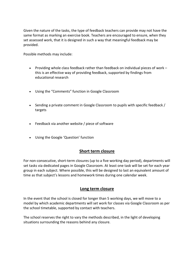Given the nature of the tasks, the type of feedback teachers can provide may not have the same format as marking an exercise book. Teachers are encouraged to ensure, when they set assessed work, that it is designed in such a way that meaningful feedback may be provided.

Possible methods may include:

- Providing whole class feedback rather than feedback on individual pieces of work this is an effective way of providing feedback, supported by findings from educational research
- Using the "Comments" function in Google Classroom
- Sending a private comment in Google Classroom to pupils with specific feedback / targets
- Feedback via another website / piece of software
- Using the Google 'Question' function

## **Short term closure**

For non-consecutive, short-term closures (up to a five working day period), departments will set tasks via dedicated pages in Google Classroom. At least one task will be set for each year group in each subject. Where possible, this will be designed to last an equivalent amount of time as that subject's lessons and homework times during one calendar week.

## **Long term closure**

In the event that the school is closed for longer than 5 working days, we will move to a model by which academic departments will set work for classes via Google Classroom as per the school timetable, supported by contact with teachers.

The school reserves the right to vary the methods described, in the light of developing situations surrounding the reasons behind any closure.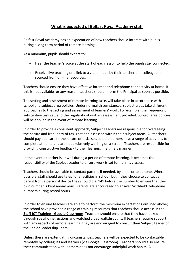## **What is expected of Belfast Royal Academy staff**

Belfast Royal Academy has an expectation of how teachers should interact with pupils during a long term period of remote learning.

As a minimum, pupils should expect to:

- Hear the teacher's voice at the start of each lesson to help the pupils stay connected.
- Receive live teaching or a link to a video made by their teacher or a colleague, or sourced from on-line resources.

Teachers should ensure they have effective internet and telephone connectivity at home. If this is not available for any reason, teachers should inform the Principal as soon as possible.

The setting and assessment of remote learning tasks will take place in accordance with school and subject area policies. Under normal circumstances, subject areas take different approaches to the setting and assessment of learners' work. For example, the frequency of substantive task set, and the regularity of written assessment provided. Subject area policies will be applied in the event of remote learning.

In order to provide a consistent approach, Subject Leaders are responsible for overseeing the nature and frequency of tasks set and assessed within their subject areas. All teachers should pay due care to the nature of tasks set, so that learners have a range of activities to complete at home and are not exclusively working on a screen. Teachers are responsible for providing constructive feedback to their learners in a timely manner.

In the event a teacher is unwell during a period of remote learning, it becomes the responsibility of the Subject Leader to ensure work is set for her/his classes.

Teachers should be available to contact parents if needed, by email or telephone. Where possible, staff should use telephone facilities in school, but if they choose to contact a parent from a personal device they should dial 141 before the number to ensure that their own number is kept anonymous. Parents are encouraged to answer 'withheld' telephone numbers during school hours.

In order to ensure teachers are able to perform the minimum expectations outlined above; the school have provided a range of training resources that teachers should access in the **Staff ICT Training - Google Classroom**. Teachers should ensure that they have looked through specific instructions and watched video walkthroughs. If teachers require support with any aspects of remote learning, they are encouraged to consult their Subject Leader or the Senior Leadership Team.

Unless there are extenuating circumstances, teachers will be expected to be contactable remotely by colleagues and learners (via Google Classroom). Teachers should also ensure their communication with learners does not encourage unhelpful work habits. All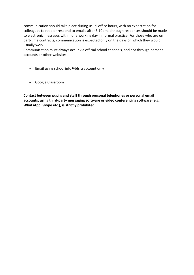communication should take place during usual office hours, with no expectation for colleagues to read or respond to emails after 3.10pm, although responses should be made to electronic messages within one working day in normal practice. For those who are on part-time contracts, communication is expected only on the days on which they would usually work.

Communication must always occur via official school channels, and not through personal accounts or other websites.

- Email using school info@bfsra account only
- Google Classroom

**Contact between pupils and staff through personal telephones or personal email accounts, using third-party messaging software or video conferencing software (e.g. WhatsApp, Skype etc.), is strictly prohibited.**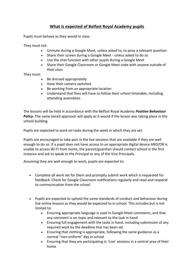## **What is expected of Belfast Royal Academy pupils**

Pupils must behave as they would in class.

They must not:

- Unmute during a Google Meet, unless asked to, to pose a relevant question
- Share their screen during a Google Meet unless asked to do so
- Use the chat function with other pupils during a Google Meet
- Share their Google Classroom or Google Meet code with anyone outside of their class

#### They must:

- Be dressed appropriately
- Have their camera switched
- Be working from an appropriate location
- Understand that they will have to follow their school timetable, including attending assemblies

The lessons will be held in accordance with the Belfast Royal Academy *Positive Behaviour Policy*. The same tiered approach will apply as it would if the lesson was taking place in the school building.

Pupils are expected to work on tasks during the week in which they are set.

Pupils are encouraged to take part in the live sessions that are available if they are well enough to do so. If a pupil does not have access to an appropriate digital device AND/OR is unable to access Wi-Fi from home, the parent/guardian should contact school in the first instance and ask to speak to the Principal or any of the Vice Principals.

Assuming they are well enough to work, pupils are expected to:

- Complete all work set for them and promptly submit work which is requested for feedback. Check for Google Classroom notifications regularly and read and respond to communication from the school
- Pupils are expected to uphold the same standards of conduct and behaviour during live online lessons as they would be expected to in school. This includes but is not limited to:
	- Ensuring appropriate language is used in Google Meet comments, and that any comment is on-topic and relevant to the task in hand
	- Ensuring full engagement with the tasks in hand, including submission of any required work by the deadline that has been set
	- Ensuring that clothing is appropriate, following the same guidance as a normal "non-uniform" day in school
	- Ensuring that they are participating in 'Live' sessions in a central area of their home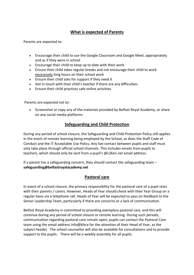## **What is expected of Parents**

Parents are expected to:

- Encourage their child to use the Google Classroom and Google Meet, appropriately and as if they were in school
- Encourage their child to keep up to date with their work
- Ensure their child takes regular breaks and not encourage their child to work excessively long hours on their school work
- Ensure their child asks for support if they need it
- Get in touch with their child's teacher if there are any difficulties
- Ensure their child practices safe online activities

Parents are expected not to:

• Screenshot or copy any of the materials provided by Belfast Royal Academy, or share on any social media platforms

## **Safeguarding and Child Protection**

During any period of school closure, the Safeguarding and Child Protection Policy still applies in the event of remote learning being employed by the School, as does the Staff Code of Conduct and the IT Acceptable Use Policy. Any live contact between pupils and staff must only take place through official school channels. This includes emails from pupils to teachers, which should only be sent from a pupil's @c2ken.net email address.

If a parent has a safeguarding concern, they should contact the safeguarding team – **safeguarding@belfastroyalacademy.net**

## **Pastoral care**

In event of a school closure, the primary responsibility for the pastoral care of a pupil rests with their parents / carers. However, Heads of Year should check with their Year Group on a regular basis via a telephone call. Heads of Year will be expected to pass on feedback to the Senior Leadership Team, particularly if there are concerns or a lack of communication.

Belfast Royal Academy is committed to providing exemplary pastoral care, and this will continue during any period of school closure or remote learning. During such periods, communication regarding pastoral care remain open; pupils can contact the Pastoral Care team using the email address info@bfsra for the attention of their Head of Year, as the subject header. The school counsellor will also be available for consultations and to provide support to the pupils. There will be a weekly assembly for all pupils.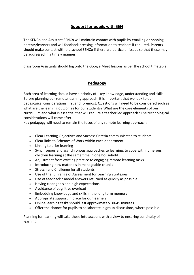## **Support for pupils with SEN**

The SENCo and Assistant SENCo will maintain contact with pupils by emailing or phoning parents/learners and will feedback pressing information to teachers if required. Parents should make contact with the school SENCo if there are particular issues so that these may be addressed in a timely manner.

Classroom Assistants should log onto the Google Meet lessons as per the school timetable.

## **Pedagogy**

Each area of learning should have a priority of - key knowledge, understanding and skills Before planning our remote learning approach, it is important that we look to our pedagogical considerations first and foremost. Questions will need to be considered such as what are the learning outcomes for our students? What are the core elements of our curriculum and what is essential that will require a teacher led approach? The technological considerations will come after.

Key pedagogy will need to remain the focus of any remote learning approach:

- Clear Learning Objectives and Success Criteria communicated to students
- Clear links to Schemes of Work within each department
- Linking to prior learning
- Synchronous and asynchronous approaches to learning, to cope with numerous children learning at the same time in one household
- Adjustment from existing practice to engaging remote learning tasks
- Introducing new materials in manageable chunks
- Stretch and Challenge for all students
- Use of the full range of Assessment for Learning strategies
- Use of feedback / model answers returned as quickly as possible
- Having clear goals and high expectations
- Avoidance of cognitive overload
- Embedding knowledge and skills in the long term memory
- Appropriate support in place for our learners
- Online learning tasks should last approximately 30-45 minutes
- Offer the chance for pupils to collaborate in group discussions, where possible

Planning for learning will take these into account with a view to ensuring continuity of learning.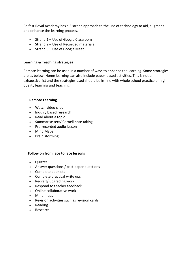Belfast Royal Academy has a 3 strand approach to the use of technology to aid, augment and enhance the learning process.

- $\bullet$  Strand 1 Use of Google Classroom
- Strand 2 Use of Recorded materials
- $\bullet$  Strand 3 Use of Google Meet

#### **Learning & Teaching strategies**

Remote learning can be used in a number of ways to enhance the learning. Some strategies are as below. Home learning can also include paper-based activities. This is not an exhaustive list and the strategies used should be in-line with whole school practice of high quality learning and teaching.

#### **Remote Learning**

- Watch video clips
- Inquiry based research
- Read about a topic
- Summarise text/ Cornell note taking
- Pre-recorded audio lesson
- Mind Maps
- Brain storming

#### **Follow on from face to face lessons**

- Quizzes
- Answer questions / past paper questions
- Complete booklets
- Complete practical write ups
- Redraft/ upgrading work
- Respond to teacher feedback
- Online collaborative work
- Mind maps
- Revision activities such as revision cards
- Reading
- Research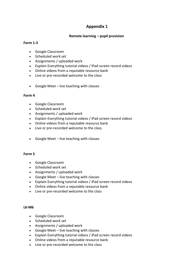#### **Remote learning – pupil provision**

#### **Form 1-3**

- Google Classroom
- Scheduled work set
- Assignments / uploaded work
- Explain Everything tutorial videos / iPad screen record videos
- Online videos from a reputable resource bank
- Live or pre-recorded welcome to the class
- Google Meet live teaching with classes

#### **Form 4**

- Google Classroom
- Scheduled work set
- Assignments / uploaded work
- Explain Everything tutorial videos / iPad screen record videos
- Online videos from a reputable resource bank
- Live or pre-recorded welcome to the class
- Google Meet live teaching with classes

#### **Form 5**

- Google Classroom
- Scheduled work set
- Assignments / uploaded work
- Google Meet live teaching with classes
- Explain Everything tutorial videos / iPad screen record videos
- Online videos from a reputable resource bank
- Live or pre-recorded welcome to the class

#### **L6-M6**

- Google Classroom
- Scheduled work set
- Assignments / uploaded work
- Google Meet live teaching with classes
- Explain Everything tutorial videos / iPad screen record videos
- Online videos from a reputable resource bank
- Live or pre-recorded welcome to the class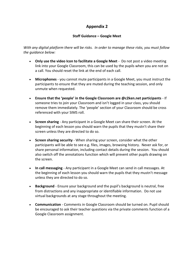#### **Staff Guidance – Google Meet**

*With any digital platform there will be risks. In order to manage these risks, you must follow the guidance below:*

- **Only use the video Icon to facilitate a Google Meet** Do not post a video meeting link into your Google Classroom, this can be used by the pupils when you are not on a call. You should reset the link at the end of each call.
- **Microphones**  you cannot mute participants in a Google Meet, you must instruct the participants to ensure that they are muted during the teaching session, and only unmute when requested.
- **Ensure that the 'people' in the Google Classroom are @c2ken.net participants** If someone tries to join your Classroom and isn't logged in your class, you should remove them immediately. The 'people' section of your Classroom should be cross referenced with your SIMS roll.
- **Screen sharing** Any participant in a Google Meet can share their screen. At the beginning of each lesson you should warn the pupils that they mustn't share their screen unless they are directed to do so.
- **Screen sharing security**  When sharing your screen, consider what the other participants will be able to see e.g. files, images, browsing history. Never ask for, or share personal information, including contact details during the session. You should also switch off the annotations function which will prevent other pupils drawing on the screen.
- **In call messaging**  Any participant in a Google Meet can send in call messages. At the beginning of each lesson you should warn the pupils that they mustn't message unless they are directed to do so.
- **Background**  Ensure your background and the pupil's background is neutral, free from distractions and any inappropriate or identifiable information. Do not use virtual backgrounds at any stage throughout the meeting.
- **Communication**  Comments in Google Classroom should be turned on. Pupil should be encouraged to ask their teacher questions via the private comments function of a Google Classroom assignment.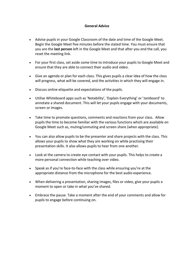#### **General Advice**

- Advise pupils in your Google Classroom of the date and time of the Google Meet. Begin the Google Meet five minutes before the stated time. You must ensure that you are the **last person** left in the Google Meet and that after you end the call, you reset the meeting link.
- For your first class, set aside some time to introduce your pupils to Google Meet and ensure that they are able to connect their audio and video.
- Give an agenda or plan for each class. This gives pupils a clear idea of how the class will progress, what will be covered, and the activities in which they will engage in.
- Discuss online etiquette and expectations of the pupils.
- Utilise Whiteboard apps such as 'Notability', 'Explain Everything' or 'Jamboard' to annotate a shared document. This will let your pupils engage with your documents, screen or images.
- Take time to promote questions, comments and reactions from your class. Allow pupils the time to become familiar with the various functions which are available on Google Meet such as, muting/unmuting and screen share (when appropriate).
- You can also allow pupils to be the presenter and share projects with the class. This allows your pupils to show what they are working on while practising their presentation skills. It also allows pupils to hear from one another.
- Look at the camera to create eye contact with your pupils. This helps to create a more personal connection while teaching over video.
- Speak as if you're face-to-face with the class while ensuring you're at the appropriate distance from the microphone for the best audio experience.
- When delivering a presentation, sharing images, files or video, give your pupils a moment to open or take in what you've shared.
- Embrace the pause. Take a moment after the end of your comments and allow for pupils to engage before continuing on.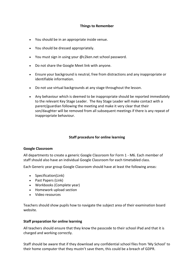#### **Things to Remember**

- You should be in an appropriate inside venue.
- You should be dressed appropriately.
- You must sign in using your @c2ken.net school password.
- Do not share the Google Meet link with anyone.
- Ensure your background is neutral, free from distractions and any inappropriate or identifiable information.
- Do not use virtual backgrounds at any stage throughout the lesson.
- Any behaviour which is deemed to be inappropriate should be reported immediately to the relevant Key Stage Leader. The Key Stage Leader will make contact with a parent/guardian following the meeting and make it very clear that their son/daughter will be removed from all subsequent meetings if there is any repeat of inappropriate behaviour.

#### **Staff procedure for online learning**

#### **Google Classroom**

All departments to create a generic Google Classroom for Form 1 - M6. Each member of staff should also have an individual Google Classroom for each timetabled class.

Each Generic year group Google Classroom should have at least the following areas:

- Specification(Link)
- Past Papers (Link)
- Workbooks (Complete year)
- Homework upload section
- Video resources

Teachers should show pupils how to navigate the subject area of their examination board website.

#### **Staff preparation for online learning**

All teachers should ensure that they know the passcode to their school iPad and that it is charged and working correctly.

Staff should be aware that if they download any confidential school files from 'My School' to their home computer that they mustn't save them, this could be a breach of GDPR.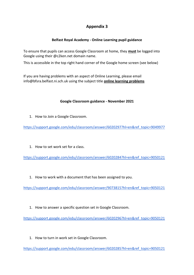## **Belfast Royal Academy - Online Learning pupil guidance**

To ensure that pupils can access Google Classroom at home, they **must** be logged into Google using their @c2ken.net domain name.

This is accessible in the top right hand corner of the Google home screen (see below)

If you are having problems with an aspect of Online Learning, please email info@bfsra.belfast.ni.sch.uk using the subject title **online learning problems**

#### **Google Classroom guidance - November 2021**

1. How to Join a Google Classroom.

[https://support.google.com/edu/classroom/answer/6020297?hl=en&ref\\_topic=9049977](https://support.google.com/edu/classroom/answer/6020297?hl=en&ref_topic=9049977)

1. How to set work set for a class.

[https://support.google.com/edu/classroom/answer/6020284?hl=en&ref\\_topic=9050121](https://support.google.com/edu/classroom/answer/6020284?hl=en&ref_topic=9050121)

1. How to work with a document that has been assigned to you.

[https://support.google.com/edu/classroom/answer/9073815?hl=en&ref\\_topic=9050121](https://support.google.com/edu/classroom/answer/9073815?hl=en&ref_topic=9050121)

1. How to answer a specific question set in Google Classroom.

[https://support.google.com/edu/classroom/answer/6020296?hl=en&ref\\_topic=9050121](https://support.google.com/edu/classroom/answer/6020296?hl=en&ref_topic=9050121)

1. How to turn in work set in Google Classroom.

[https://support.google.com/edu/classroom/answer/6020285?hl=en&ref\\_topic=9050121](https://support.google.com/edu/classroom/answer/6020285?hl=en&ref_topic=9050121)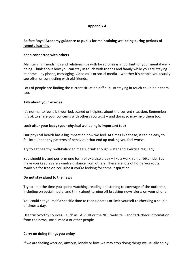#### **Belfast Royal Academy guidance to pupils for maintaining wellbeing during periods of [remote learning.](https://www.ksw.org.uk/remote-learning-5-top-tips-from-kings-worcester/)**

#### **Keep connected with others**

Maintaining friendships and relationships with loved ones is important for your mental wellbeing. Think about how you can stay in touch with friends and family while you are staying at home – by phone, messaging, video calls or social media – whether it's people you usually see often or connecting with old friends.

Lots of people are finding the current situation difficult, so staying in touch could help them too.

#### **Talk about your worries**

It's normal to feel a bit worried, scared or helpless about the current situation. Remember: it is ok to share your concerns with others you trust – and doing so may help them too.

#### **Look after your body (your physical wellbeing is important too)**

Our physical health has a big impact on how we feel. At times like these, it can be easy to fall into unhealthy patterns of behaviour that end up making you feel worse.

Try to eat healthy, well-balanced meals, drink enough water and exercise regularly.

You should try and perform one form of exercise a day – like a walk, run or bike ride. But make you keep a safe 2-metre distance from others. There are lots of home workouts available for free on YouTube if you're looking for some inspiration.

#### **Do not stay glued to the news**

Try to limit the time you spend watching, reading or listening to coverage of the outbreak, including on social media, and think about turning off breaking-news alerts on your phone.

You could set yourself a specific time to read updates or limit yourself to checking a couple of times a day.

Use trustworthy sources – such as GOV.UK or the NHS website – and fact-check information from the news, social media or other people.

#### **Carry on doing things you enjoy**

If we are feeling worried, anxious, lonely or low, we may stop doing things we usually enjoy.